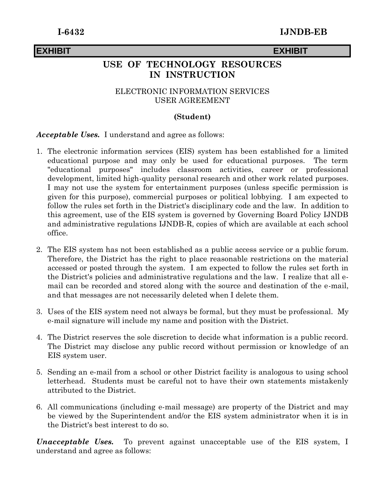# **EXHIBIT EXHIBIT**

# **USE OF TECHNOLOGY RESOURCES IN INSTRUCTION**

## ELECTRONIC INFORMATION SERVICES USER AGREEMENT

## **(Student)**

## *Acceptable Uses.* I understand and agree as follows:

- 1. The electronic information services (EIS) system has been established for a limited educational purpose and may only be used for educational purposes. The term "educational purposes" includes classroom activities, career or professional development, limited high-quality personal research and other work related purposes. I may not use the system for entertainment purposes (unless specific permission is given for this purpose), commercial purposes or political lobbying. I am expected to follow the rules set forth in the District's disciplinary code and the law. In addition to this agreement, use of the EIS system is governed by Governing Board Policy IJNDB and administrative regulations IJNDB-R, copies of which are available at each school office.
- 2. The EIS system has not been established as a public access service or a public forum. Therefore, the District has the right to place reasonable restrictions on the material accessed or posted through the system. I am expected to follow the rules set forth in the District's policies and administrative regulations and the law. I realize that all email can be recorded and stored along with the source and destination of the e-mail, and that messages are not necessarily deleted when I delete them.
- 3. Uses of the EIS system need not always be formal, but they must be professional. My e-mail signature will include my name and position with the District.
- 4. The District reserves the sole discretion to decide what information is a public record. The District may disclose any public record without permission or knowledge of an EIS system user.
- 5. Sending an e-mail from a school or other District facility is analogous to using school letterhead. Students must be careful not to have their own statements mistakenly attributed to the District.
- 6. All communications (including e-mail message) are property of the District and may be viewed by the Superintendent and/or the EIS system administrator when it is in the District's best interest to do so.

*Unacceptable Uses.* To prevent against unacceptable use of the EIS system, I understand and agree as follows: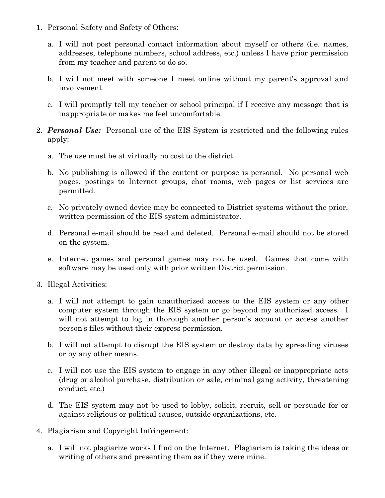- 1. Personal Safety and Safety of Others:
	- a. I will not post personal contact information about myself or others (i.e. names, addresses, telephone numbers, school address, etc.) unless I have prior permission from my teacher and parent to do so.
	- b. I will not meet with someone I meet online without my parent's approval and involvement.
	- c. I will promptly tell my teacher or school principal if I receive any message that is inappropriate or makes me feel uncomfortable.
- 2. *Personal Use:* Personal use of the EIS System is restricted and the following rules apply:
	- a. The use must be at virtually no cost to the district.
	- b. No publishing is allowed if the content or purpose is personal. No personal web pages, postings to Internet groups, chat rooms, web pages or list services are permitted.
	- c. No privately owned device may be connected to District systems without the prior, written permission of the EIS system administrator.
	- d. Personal e-mail should be read and deleted. Personal e-mail should not be stored on the system.
	- e. Internet games and personal games may not be used. Games that come with software may be used only with prior written District permission.
- 3. Illegal Activities:
	- a. I will not attempt to gain unauthorized access to the EIS system or any other computer system through the EIS system or go beyond my authorized access. I will not attempt to log in thorough another person's account or access another person's files without their express permission.
	- b. I will not attempt to disrupt the EIS system or destroy data by spreading viruses or by any other means.
	- c. I will not use the EIS system to engage in any other illegal or inappropriate acts (drug or alcohol purchase, distribution or sale, criminal gang activity, threatening conduct, etc.)
	- d. The EIS system may not be used to lobby, solicit, recruit, sell or persuade for or against religious or political causes, outside organizations, etc.
- 4. Plagiarism and Copyright Infringement:
	- a. I will not plagiarize works I find on the Internet. Plagiarism is taking the ideas or writing of others and presenting them as if they were mine.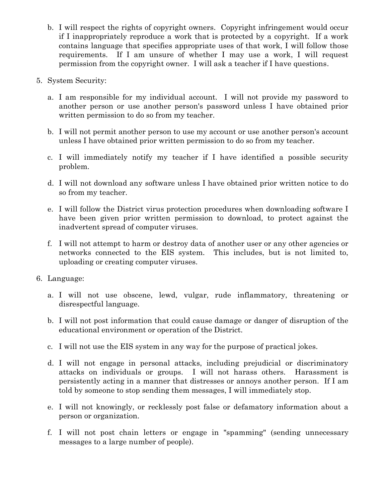- b. I will respect the rights of copyright owners. Copyright infringement would occur if I inappropriately reproduce a work that is protected by a copyright. If a work contains language that specifies appropriate uses of that work, I will follow those requirements. If I am unsure of whether I may use a work, I will request permission from the copyright owner. I will ask a teacher if I have questions.
- 5. System Security:
	- a. I am responsible for my individual account. I will not provide my password to another person or use another person's password unless I have obtained prior written permission to do so from my teacher.
	- b. I will not permit another person to use my account or use another person's account unless I have obtained prior written permission to do so from my teacher.
	- c. I will immediately notify my teacher if I have identified a possible security problem.
	- d. I will not download any software unless I have obtained prior written notice to do so from my teacher.
	- e. I will follow the District virus protection procedures when downloading software I have been given prior written permission to download, to protect against the inadvertent spread of computer viruses.
	- f. I will not attempt to harm or destroy data of another user or any other agencies or networks connected to the EIS system. This includes, but is not limited to, uploading or creating computer viruses.
- 6. Language:
	- a. I will not use obscene, lewd, vulgar, rude inflammatory, threatening or disrespectful language.
	- b. I will not post information that could cause damage or danger of disruption of the educational environment or operation of the District.
	- c. I will not use the EIS system in any way for the purpose of practical jokes.
	- d. I will not engage in personal attacks, including prejudicial or discriminatory attacks on individuals or groups. I will not harass others. Harassment is persistently acting in a manner that distresses or annoys another person. If I am told by someone to stop sending them messages, I will immediately stop.
	- e. I will not knowingly, or recklessly post false or defamatory information about a person or organization.
	- f. I will not post chain letters or engage in "spamming" (sending unnecessary messages to a large number of people).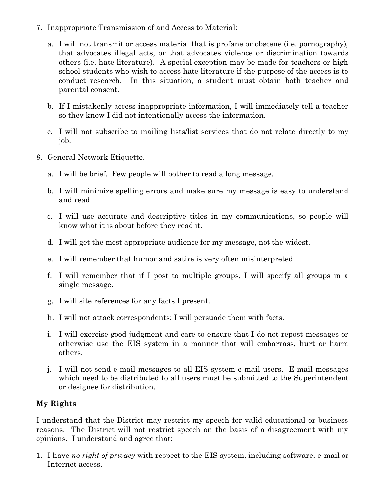- 7. Inappropriate Transmission of and Access to Material:
	- a. I will not transmit or access material that is profane or obscene (i.e. pornography), that advocates illegal acts, or that advocates violence or discrimination towards others (i.e. hate literature). A special exception may be made for teachers or high school students who wish to access hate literature if the purpose of the access is to conduct research. In this situation, a student must obtain both teacher and parental consent.
	- b. If I mistakenly access inappropriate information, I will immediately tell a teacher so they know I did not intentionally access the information.
	- c. I will not subscribe to mailing lists/list services that do not relate directly to my job.
- 8. General Network Etiquette.
	- a. I will be brief. Few people will bother to read a long message.
	- b. I will minimize spelling errors and make sure my message is easy to understand and read.
	- c. I will use accurate and descriptive titles in my communications, so people will know what it is about before they read it.
	- d. I will get the most appropriate audience for my message, not the widest.
	- e. I will remember that humor and satire is very often misinterpreted.
	- f. I will remember that if I post to multiple groups, I will specify all groups in a single message.
	- g. I will site references for any facts I present.
	- h. I will not attack correspondents; I will persuade them with facts.
	- i. I will exercise good judgment and care to ensure that I do not repost messages or otherwise use the EIS system in a manner that will embarrass, hurt or harm others.
	- j. I will not send e-mail messages to all EIS system e-mail users. E-mail messages which need to be distributed to all users must be submitted to the Superintendent or designee for distribution.

# **My Rights**

I understand that the District may restrict my speech for valid educational or business reasons. The District will not restrict speech on the basis of a disagreement with my opinions. I understand and agree that:

1. I have *no right of privacy* with respect to the EIS system, including software, e-mail or Internet access.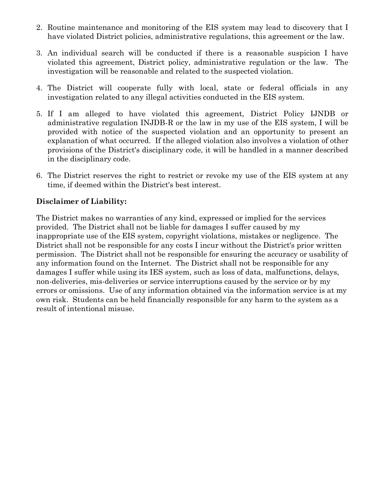- 2. Routine maintenance and monitoring of the EIS system may lead to discovery that I have violated District policies, administrative regulations, this agreement or the law.
- 3. An individual search will be conducted if there is a reasonable suspicion I have violated this agreement, District policy, administrative regulation or the law. The investigation will be reasonable and related to the suspected violation.
- 4. The District will cooperate fully with local, state or federal officials in any investigation related to any illegal activities conducted in the EIS system.
- 5. If I am alleged to have violated this agreement, District Policy IJNDB or administrative regulation INJDB-R or the law in my use of the EIS system, I will be provided with notice of the suspected violation and an opportunity to present an explanation of what occurred. If the alleged violation also involves a violation of other provisions of the District's disciplinary code, it will be handled in a manner described in the disciplinary code.
- 6. The District reserves the right to restrict or revoke my use of the EIS system at any time, if deemed within the District's best interest.

## **Disclaimer of Liability:**

The District makes no warranties of any kind, expressed or implied for the services provided. The District shall not be liable for damages I suffer caused by my inappropriate use of the EIS system, copyright violations, mistakes or negligence. The District shall not be responsible for any costs I incur without the District's prior written permission. The District shall not be responsible for ensuring the accuracy or usability of any information found on the Internet. The District shall not be responsible for any damages I suffer while using its IES system, such as loss of data, malfunctions, delays, non-deliveries, mis-deliveries or service interruptions caused by the service or by my errors or omissions. Use of any information obtained via the information service is at my own risk. Students can be held financially responsible for any harm to the system as a result of intentional misuse.